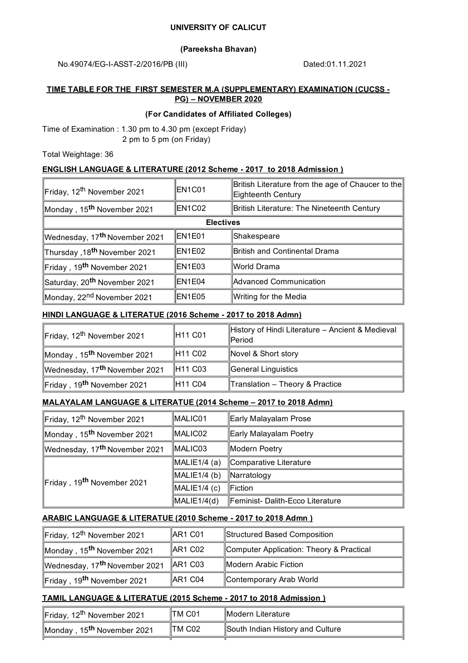#### **UNIVERSITY OF CALICUT**

#### **(Pareeksha Bhavan)**

No.49074/EG-I-ASST-2/2016/PB (III) Dated:01.11.2021

#### **TIME TABLE FOR THE FIRST SEMESTER M.A (SUPPLEMENTARY) EXAMINATION (CUCSS - PG) – NOVEMBER 2020**

#### **(For Candidates of Affiliated Colleges)**

Time of Examination : 1.30 pm to 4.30 pm (except Friday) 2 pm to 5 pm (on Friday)

Total Weightage: 36

#### **ENGLISH LANGUAGE & LITERATURE (2012 Scheme - 2017 to 2018 Admission )**

| Friday, 12 <sup>th</sup> November 2021    | EN1C01 | British Literature from the age of Chaucer to the<br>Eighteenth Century |
|-------------------------------------------|--------|-------------------------------------------------------------------------|
| Monday, 15 <sup>th</sup> November 2021    | EN1C02 | British Literature: The Nineteenth Century                              |
| <b>Electives</b>                          |        |                                                                         |
| Wednesday, 17 <sup>th</sup> November 2021 | EN1E01 | ∥Shakespeare                                                            |
| Thursday ,18 <sup>th</sup> November 2021  | EN1E02 | British and Continental Drama                                           |
| Friday, 19 <sup>th</sup> November 2021    | EN1E03 | ∥World Drama                                                            |
| Saturday, 20 <sup>th</sup> November 2021  | EN1E04 | Advanced Communication                                                  |
| Monday, 22 <sup>nd</sup> November 2021    | EN1E05 | Writing for the Media                                                   |

#### **HINDI LANGUAGE & LITERATUE (2016 Scheme - 2017 to 2018 Admn)**

| Friday, 12 <sup>th</sup> November 2021    | H <sub>11</sub> C <sub>01</sub> | History of Hindi Literature - Ancient & Medieval<br><b>IPeriod</b> |
|-------------------------------------------|---------------------------------|--------------------------------------------------------------------|
| Monday, 15 <sup>th</sup> November 2021    | H <sub>11</sub> C <sub>02</sub> | Novel & Short story                                                |
| Wednesday, 17 <sup>th</sup> November 2021 | H <sub>11</sub> C <sub>03</sub> | General Linguistics                                                |
| Friday, 19 <sup>th</sup> November 2021    | H11 C04                         | $\ $ Translation - Theory & Practice                               |

#### **MALAYALAM LANGUAGE & LITERATUE (2014 Scheme – 2017 to 2018 Admn)**

| Friday, 12 <sup>th</sup> November 2021    | MALIC01        | Early Malayalam Prose            |
|-------------------------------------------|----------------|----------------------------------|
| Monday, 15 <sup>th</sup> November 2021    | MALIC02        | Early Malayalam Poetry           |
| Wednesday, 17 <sup>th</sup> November 2021 | MALIC03        | Modern Poetry                    |
| Friday, 19 <sup>th</sup> November 2021    | MALIE1/4(a)    | Comparative Literature           |
|                                           | $MALIE1/4$ (b) | ∥Narratology                     |
|                                           | MALIE1/4 (c)   | llFiction.                       |
|                                           | MALIE1/4(d)    | Feminist- Dalith-Ecco Literature |

#### **ARABIC LANGUAGE & LITERATUE (2010 Scheme - 2017 to 2018 Admn )**

| Friday, 12 <sup>th</sup> November 2021    | AR1 C01             | Structured Based Composition             |
|-------------------------------------------|---------------------|------------------------------------------|
| Monday, 15 <sup>th</sup> November 2021    | <b>AR1 C02</b>      | Computer Application: Theory & Practical |
| Wednesday, 17 <sup>th</sup> November 2021 | $\parallel$ AR1 C03 | Modern Arabic Fiction                    |
| Friday, 19 <sup>th</sup> November 2021    | AR1 C04             | Contemporary Arab World                  |

#### **TAMIL LANGUAGE & LITERATUE (2015 Scheme - 2017 to 2018 Admission )**

| Friday, 12 <sup>th</sup> November 2021 | ITM C01 | Modern Literature                |
|----------------------------------------|---------|----------------------------------|
| Monday, 15 <sup>th</sup> November 2021 | ∥TM C02 | South Indian History and Culture |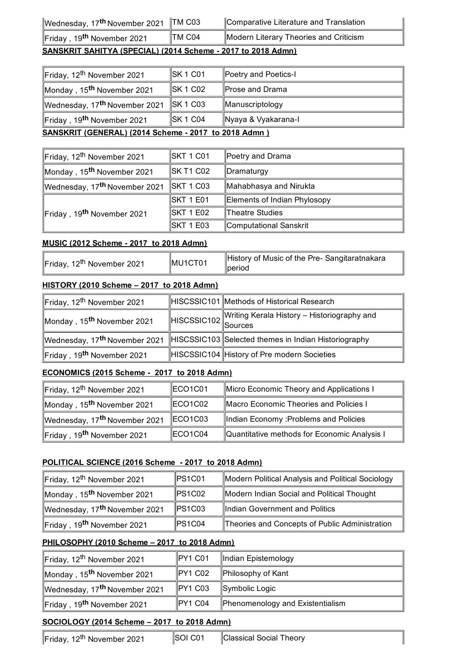| ∣Wednesday, 17 <sup>th</sup> November 2021  ∥TM C03 |  |  |
|-----------------------------------------------------|--|--|
|-----------------------------------------------------|--|--|

Friday, 19<sup>th</sup> November 2021

# **3** Comparative Literature and Translation

## **TM C04** Modern Literary Theories and Criticism

# **SANSKRIT SAHITYA (SPECIAL) (2014 Scheme - 2017 to 2018 Admn)**

| Friday, 12 <sup>th</sup> November 2021               | $\parallel$ SK 1 C01 | Poetry and Poetics-I   |
|------------------------------------------------------|----------------------|------------------------|
| Monday, 15 <sup>th</sup> November 2021               | $\parallel$ SK 1 C02 | Prose and Drama        |
| Wednesday, 17 <sup>th</sup> November 2021            | $\parallel$ SK 1 C03 | <b>Manuscriptology</b> |
| Friday, 19 <sup>th</sup> November 2021               | <b>SK 1 C04</b>      | ∥Nyaya & Vyakarana-I   |
| SANSKRIT (GENERAL) (2014 Scheme - 2017 to 2018 Admn) |                      |                        |

| Friday, 12 <sup>th</sup> November 2021    | SKT 1 C01         | Poetry and Drama             |
|-------------------------------------------|-------------------|------------------------------|
| Monday, 15 <sup>th</sup> November 2021    | SK T1 C02         | ∥Dramaturgy                  |
| Wednesday, 17 <sup>th</sup> November 2021 | <b>SKT 1 C03</b>  | Mahabhasya and Nirukta       |
|                                           | SKT 1 E01         | Elements of Indian Phylosopy |
| Friday, 19 <sup>th</sup> November 2021    | <b>ISKT 1 E02</b> | Theatre Studies              |
|                                           | <b>ISKT 1 E03</b> | Computational Sanskrit       |

## **MUSIC (2012 Scheme - 2017 to 2018 Admn)**

| MU1CT01                                | History of Music of the Pre- Sangitaratnakara |
|----------------------------------------|-----------------------------------------------|
| Friday, 12 <sup>th</sup> November 2021 | ∥period                                       |

# **HISTORY (2010 Scheme – 2017 to 2018 Admn)**

| Friday, 12 <sup>th</sup> November 2021    | HISCSSIC101 Methods of Historical Research           |
|-------------------------------------------|------------------------------------------------------|
| Monday, 15 <sup>th</sup> November 2021    | $\mathbf{R}$ HISCSSIC102 Sources<br>Sources          |
| Wednesday, 17 <sup>th</sup> November 2021 | HISCSSIC103 Selected themes in Indian Historiography |
| Friday, 19 <sup>th</sup> November 2021    | HISCSSIC104 History of Pre modern Societies          |

# **ECONOMICS (2015 Scheme - 2017 to 2018 Admn)**

| Friday, 12 <sup>th</sup> November 2021    | ECO <sub>1</sub> C <sub>01</sub> | Micro Economic Theory and Applications I     |
|-------------------------------------------|----------------------------------|----------------------------------------------|
| Monday, 15 <sup>th</sup> November 2021    | ECO1C02                          | Macro Economic Theories and Policies I       |
| Wednesday, 17 <sup>th</sup> November 2021 | ECO1C03                          | Indian Economy: Problems and Policies        |
| Friday, 19 <sup>th</sup> November 2021    | ECO1C04                          | Quantitative methods for Economic Analysis I |

# **POLITICAL SCIENCE (2016 Scheme - 2017 to 2018 Admn)**

| Friday, 12 <sup>th</sup> November 2021    | PS1C01      | Modern Political Analysis and Political Sociology |
|-------------------------------------------|-------------|---------------------------------------------------|
| Monday, 15 <sup>th</sup> November 2021    | PS1C02      | Modern Indian Social and Political Thought        |
| Wednesday, 17 <sup>th</sup> November 2021 | $\ $ PS1C03 | Indian Government and Politics                    |
| Friday , 19 <sup>th</sup> November 2021   | PS1C04      | Theories and Concepts of Public Administration    |

# **PHILOSOPHY (2010 Scheme – 2017 to 2018 Admn)**

| Friday, 12 <sup>th</sup> November 2021    | $PY1$ C01 | Indian Epistemology              |
|-------------------------------------------|-----------|----------------------------------|
| Monday, 15 <sup>th</sup> November 2021    | PY1 C02   | Philosophy of Kant               |
| Wednesday, 17 <sup>th</sup> November 2021 | PY1 C03   | Symbolic Logic                   |
| Friday, 19 <sup>th</sup> November 2021    | PY1 C04   | Phenomenology and Existentialism |

# **SOCIOLOGY (2014 Scheme – 2017 to 2018 Admn)**

 $\mathbb{F}$ Friday, 12<sup>th</sup> November 2021